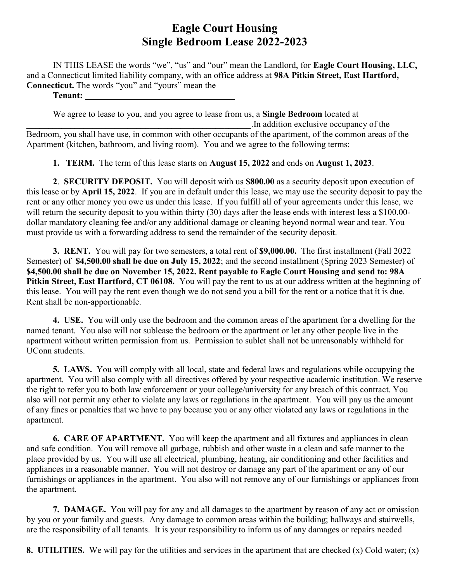IN THIS LEASE the words "we", "us" and "our" mean the Landlord, for Eagle Court Housing, LLC, and a Connecticut limited liability company, with an office address at 98A Pitkin Street, East Hartford, Connecticut. The words "you" and "yours" mean the

Tenant:

We agree to lease to you, and you agree to lease from us, a **Single Bedroom** located at \_\_\_\_\_\_\_\_\_\_\_\_\_\_\_\_\_\_\_\_\_\_\_\_\_\_\_\_\_\_\_\_\_\_\_\_\_\_\_\_\_\_\_\_\_\_\_\_\_\_\_.In addition exclusive occupancy of the Bedroom, you shall have use, in common with other occupants of the apartment, of the common areas of the Apartment (kitchen, bathroom, and living room). You and we agree to the following terms:

1. TERM. The term of this lease starts on August 15, 2022 and ends on August 1, 2023.

2. SECURITY DEPOSIT. You will deposit with us \$800.00 as a security deposit upon execution of this lease or by April 15, 2022. If you are in default under this lease, we may use the security deposit to pay the rent or any other money you owe us under this lease. If you fulfill all of your agreements under this lease, we will return the security deposit to you within thirty (30) days after the lease ends with interest less a \$100.00dollar mandatory cleaning fee and/or any additional damage or cleaning beyond normal wear and tear. You must provide us with a forwarding address to send the remainder of the security deposit.

3. RENT. You will pay for two semesters, a total rent of \$9,000.00. The first installment (Fall 2022 Semester) of \$4,500.00 shall be due on July 15, 2022; and the second installment (Spring 2023 Semester) of \$4,500.00 shall be due on November 15, 2022. Rent payable to Eagle Court Housing and send to: 98A Pitkin Street, East Hartford, CT 06108. You will pay the rent to us at our address written at the beginning of this lease. You will pay the rent even though we do not send you a bill for the rent or a notice that it is due. Rent shall be non-apportionable.

4. USE. You will only use the bedroom and the common areas of the apartment for a dwelling for the named tenant. You also will not sublease the bedroom or the apartment or let any other people live in the apartment without written permission from us. Permission to sublet shall not be unreasonably withheld for UConn students.

5. LAWS. You will comply with all local, state and federal laws and regulations while occupying the apartment. You will also comply with all directives offered by your respective academic institution. We reserve the right to refer you to both law enforcement or your college/university for any breach of this contract. You also will not permit any other to violate any laws or regulations in the apartment. You will pay us the amount of any fines or penalties that we have to pay because you or any other violated any laws or regulations in the apartment.

6. CARE OF APARTMENT. You will keep the apartment and all fixtures and appliances in clean and safe condition. You will remove all garbage, rubbish and other waste in a clean and safe manner to the place provided by us. You will use all electrical, plumbing, heating, air conditioning and other facilities and appliances in a reasonable manner. You will not destroy or damage any part of the apartment or any of our furnishings or appliances in the apartment. You also will not remove any of our furnishings or appliances from the apartment.

7. DAMAGE. You will pay for any and all damages to the apartment by reason of any act or omission by you or your family and guests. Any damage to common areas within the building; hallways and stairwells, are the responsibility of all tenants. It is your responsibility to inform us of any damages or repairs needed

8. UTILITIES. We will pay for the utilities and services in the apartment that are checked (x) Cold water; (x)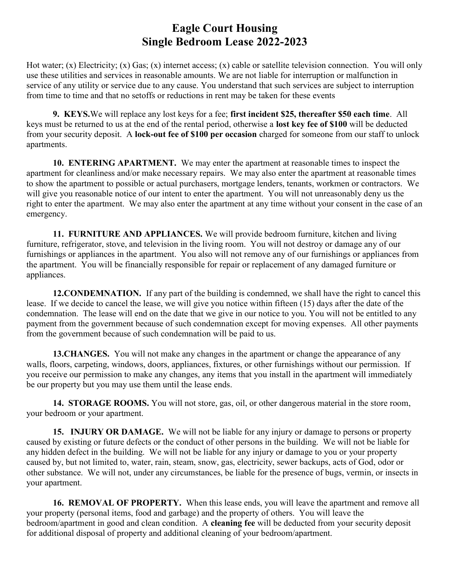Hot water; (x) Electricity; (x) Gas; (x) internet access; (x) cable or satellite television connection. You will only use these utilities and services in reasonable amounts. We are not liable for interruption or malfunction in service of any utility or service due to any cause. You understand that such services are subject to interruption from time to time and that no setoffs or reductions in rent may be taken for these events

9. KEYS.We will replace any lost keys for a fee; first incident \$25, thereafter \$50 each time. All keys must be returned to us at the end of the rental period, otherwise a lost key fee of \$100 will be deducted from your security deposit. A lock-out fee of \$100 per occasion charged for someone from our staff to unlock apartments.

10. ENTERING APARTMENT. We may enter the apartment at reasonable times to inspect the apartment for cleanliness and/or make necessary repairs. We may also enter the apartment at reasonable times to show the apartment to possible or actual purchasers, mortgage lenders, tenants, workmen or contractors. We will give you reasonable notice of our intent to enter the apartment. You will not unreasonably deny us the right to enter the apartment. We may also enter the apartment at any time without your consent in the case of an emergency.

11. FURNITURE AND APPLIANCES. We will provide bedroom furniture, kitchen and living furniture, refrigerator, stove, and television in the living room. You will not destroy or damage any of our furnishings or appliances in the apartment. You also will not remove any of our furnishings or appliances from the apartment. You will be financially responsible for repair or replacement of any damaged furniture or appliances.

12.CONDEMNATION. If any part of the building is condemned, we shall have the right to cancel this lease. If we decide to cancel the lease, we will give you notice within fifteen (15) days after the date of the condemnation. The lease will end on the date that we give in our notice to you. You will not be entitled to any payment from the government because of such condemnation except for moving expenses. All other payments from the government because of such condemnation will be paid to us.

13. CHANGES. You will not make any changes in the apartment or change the appearance of any walls, floors, carpeting, windows, doors, appliances, fixtures, or other furnishings without our permission. If you receive our permission to make any changes, any items that you install in the apartment will immediately be our property but you may use them until the lease ends.

14. STORAGE ROOMS. You will not store, gas, oil, or other dangerous material in the store room, your bedroom or your apartment.

15. INJURY OR DAMAGE. We will not be liable for any injury or damage to persons or property caused by existing or future defects or the conduct of other persons in the building. We will not be liable for any hidden defect in the building. We will not be liable for any injury or damage to you or your property caused by, but not limited to, water, rain, steam, snow, gas, electricity, sewer backups, acts of God, odor or other substance. We will not, under any circumstances, be liable for the presence of bugs, vermin, or insects in your apartment.

16. REMOVAL OF PROPERTY. When this lease ends, you will leave the apartment and remove all your property (personal items, food and garbage) and the property of others. You will leave the bedroom/apartment in good and clean condition. A cleaning fee will be deducted from your security deposit for additional disposal of property and additional cleaning of your bedroom/apartment.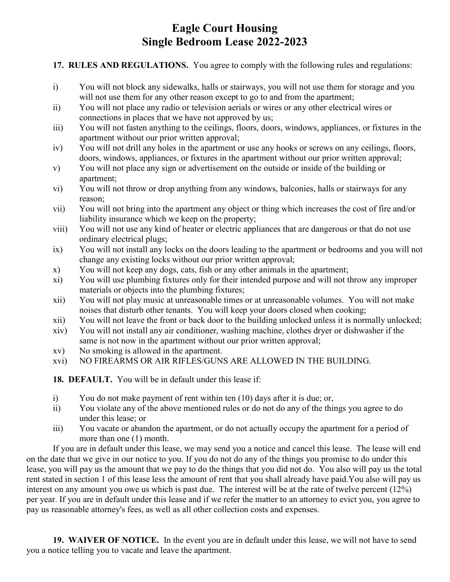#### 17. RULES AND REGULATIONS. You agree to comply with the following rules and regulations:

- i) You will not block any sidewalks, halls or stairways, you will not use them for storage and you will not use them for any other reason except to go to and from the apartment;
- ii) You will not place any radio or television aerials or wires or any other electrical wires or connections in places that we have not approved by us;
- iii) You will not fasten anything to the ceilings, floors, doors, windows, appliances, or fixtures in the apartment without our prior written approval;
- iv) You will not drill any holes in the apartment or use any hooks or screws on any ceilings, floors, doors, windows, appliances, or fixtures in the apartment without our prior written approval;
- v) You will not place any sign or advertisement on the outside or inside of the building or apartment;
- vi) You will not throw or drop anything from any windows, balconies, halls or stairways for any reason;
- vii) You will not bring into the apartment any object or thing which increases the cost of fire and/or liability insurance which we keep on the property;
- viii) You will not use any kind of heater or electric appliances that are dangerous or that do not use ordinary electrical plugs;
- ix) You will not install any locks on the doors leading to the apartment or bedrooms and you will not change any existing locks without our prior written approval;
- x) You will not keep any dogs, cats, fish or any other animals in the apartment;
- xi) You will use plumbing fixtures only for their intended purpose and will not throw any improper materials or objects into the plumbing fixtures;
- xii) You will not play music at unreasonable times or at unreasonable volumes. You will not make noises that disturb other tenants. You will keep your doors closed when cooking;
- xii) You will not leave the front or back door to the building unlocked unless it is normally unlocked;
- xiv) You will not install any air conditioner, washing machine, clothes dryer or dishwasher if the same is not now in the apartment without our prior written approval;
- xv) No smoking is allowed in the apartment.
- xvi) NO FIREARMS OR AIR RIFLES/GUNS ARE ALLOWED IN THE BUILDING.

18. DEFAULT. You will be in default under this lease if:

- i) You do not make payment of rent within ten (10) days after it is due; or,
- ii) You violate any of the above mentioned rules or do not do any of the things you agree to do under this lease; or
- iii) You vacate or abandon the apartment, or do not actually occupy the apartment for a period of more than one (1) month.

If you are in default under this lease, we may send you a notice and cancel this lease. The lease will end on the date that we give in our notice to you. If you do not do any of the things you promise to do under this lease, you will pay us the amount that we pay to do the things that you did not do. You also will pay us the total rent stated in section 1 of this lease less the amount of rent that you shall already have paid.You also will pay us interest on any amount you owe us which is past due. The interest will be at the rate of twelve percent (12%) per year. If you are in default under this lease and if we refer the matter to an attorney to evict you, you agree to pay us reasonable attorney's fees, as well as all other collection costs and expenses.

19. WAIVER OF NOTICE. In the event you are in default under this lease, we will not have to send you a notice telling you to vacate and leave the apartment.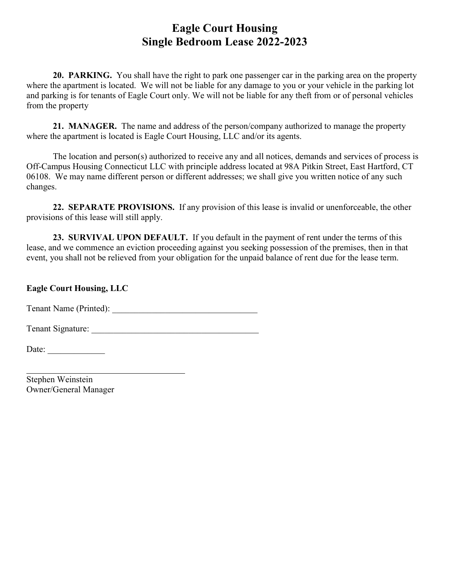20. PARKING. You shall have the right to park one passenger car in the parking area on the property where the apartment is located. We will not be liable for any damage to you or your vehicle in the parking lot and parking is for tenants of Eagle Court only. We will not be liable for any theft from or of personal vehicles from the property

21. MANAGER. The name and address of the person/company authorized to manage the property where the apartment is located is Eagle Court Housing, LLC and/or its agents.

The location and person(s) authorized to receive any and all notices, demands and services of process is Off-Campus Housing Connecticut LLC with principle address located at 98A Pitkin Street, East Hartford, CT 06108. We may name different person or different addresses; we shall give you written notice of any such changes.

22. SEPARATE PROVISIONS. If any provision of this lease is invalid or unenforceable, the other provisions of this lease will still apply.

23. SURVIVAL UPON DEFAULT. If you default in the payment of rent under the terms of this lease, and we commence an eviction proceeding against you seeking possession of the premises, then in that event, you shall not be relieved from your obligation for the unpaid balance of rent due for the lease term.

Eagle Court Housing, LLC

Tenant Name (Printed): \_\_\_\_\_\_\_\_\_\_\_\_\_\_\_\_\_\_\_\_\_\_\_\_\_\_\_\_\_\_\_\_\_

Tenant Signature: \_\_\_\_\_\_\_\_\_\_\_\_\_\_\_\_\_\_\_\_\_\_\_\_\_\_\_\_\_\_\_\_\_\_\_\_\_\_

Date:  $\frac{1}{\sqrt{1-\frac{1}{2}} \cdot \frac{1}{2}}$ 

l

Stephen Weinstein Owner/General Manager